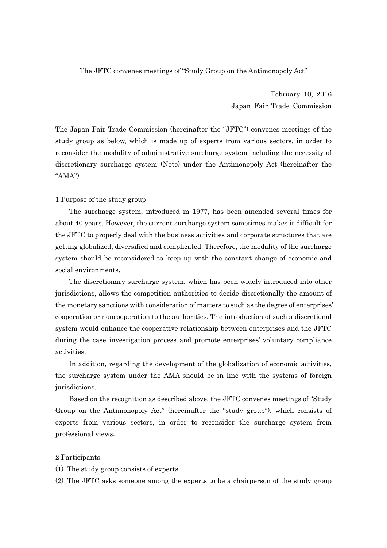The JFTC convenes meetings of "Study Group on the Antimonopoly Act"

February 10, 2016 Japan Fair Trade Commission

The Japan Fair Trade Commission (hereinafter the "JFTC") convenes meetings of the study group as below, which is made up of experts from various sectors, in order to reconsider the modality of administrative surcharge system including the necessity of discretionary surcharge system (Note) under the Antimonopoly Act (hereinafter the "AMA").

#### 1 Purpose of the study group

The surcharge system, introduced in 1977, has been amended several times for about 40 years. However, the current surcharge system sometimes makes it difficult for the JFTC to properly deal with the business activities and corporate structures that are getting globalized, diversified and complicated. Therefore, the modality of the surcharge system should be reconsidered to keep up with the constant change of economic and social environments.

 The discretionary surcharge system, which has been widely introduced into other jurisdictions, allows the competition authorities to decide discretionally the amount of the monetary sanctions with consideration of matters to such as the degree of enterprises' cooperation or noncooperation to the authorities. The introduction of such a discretional system would enhance the cooperative relationship between enterprises and the JFTC during the case investigation process and promote enterprises' voluntary compliance activities.

 In addition, regarding the development of the globalization of economic activities, the surcharge system under the AMA should be in line with the systems of foreign jurisdictions.

 Based on the recognition as described above, the JFTC convenes meetings of "Study Group on the Antimonopoly Act" (hereinafter the "study group"), which consists of experts from various sectors, in order to reconsider the surcharge system from professional views.

## 2 Participants

(1) The study group consists of experts.

(2) The JFTC asks someone among the experts to be a chairperson of the study group